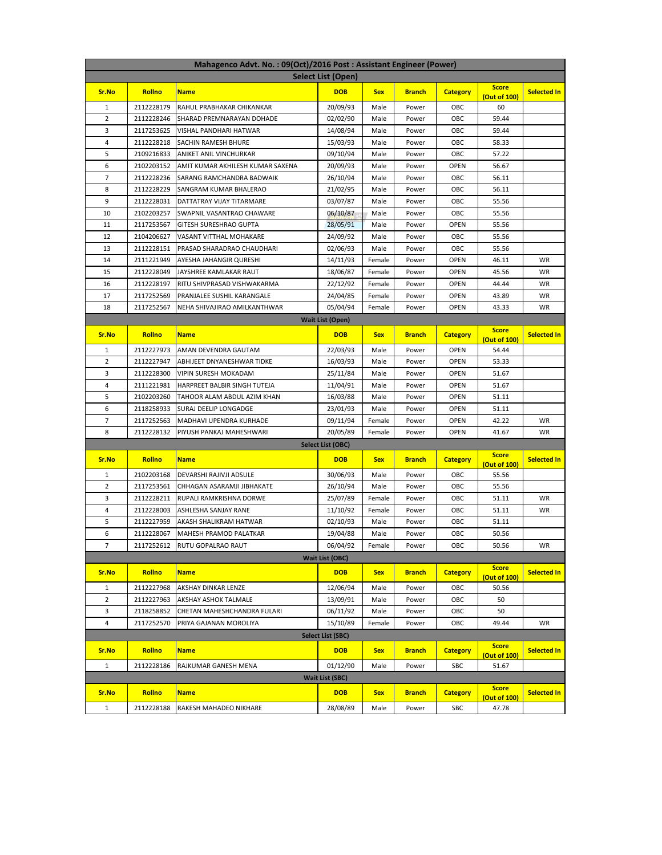| Mahagenco Advt. No.: 09(Oct)/2016 Post: Assistant Engineer (Power)<br>Select List (Open) |                          |                                                      |                         |              |                |                            |                              |                    |  |  |
|------------------------------------------------------------------------------------------|--------------------------|------------------------------------------------------|-------------------------|--------------|----------------|----------------------------|------------------------------|--------------------|--|--|
|                                                                                          |                          |                                                      |                         |              |                |                            | <b>Score</b>                 |                    |  |  |
| Sr.No                                                                                    | Rollno                   | <b>Name</b>                                          | <b>DOB</b>              | <b>Sex</b>   | <b>Branch</b>  | <b>Category</b>            | (Out of 100)                 | <b>Selected In</b> |  |  |
| 1                                                                                        | 2112228179               | RAHUL PRABHAKAR CHIKANKAR                            | 20/09/93                | Male         | Power          | OBC                        | 60                           |                    |  |  |
| 2                                                                                        | 2112228246               | SHARAD PREMNARAYAN DOHADE                            | 02/02/90                | Male         | Power          | OBC                        | 59.44                        |                    |  |  |
| 3                                                                                        | 2117253625               | VISHAL PANDHARI HATWAR                               | 14/08/94                | Male         | Power          | OBC                        | 59.44                        |                    |  |  |
| 4                                                                                        | 2112228218               | SACHIN RAMESH BHURE                                  | 15/03/93                | Male         | Power          | OBC                        | 58.33                        |                    |  |  |
| 5                                                                                        | 2109216833               | ANIKET ANIL VINCHURKAR                               | 09/10/94                | Male         | Power          | OBC                        | 57.22                        |                    |  |  |
| 6                                                                                        | 2102203152               | AMIT KUMAR AKHILESH KUMAR SAXENA                     | 20/09/93                | Male         | Power          | <b>OPEN</b>                | 56.67                        |                    |  |  |
| 7<br>8                                                                                   | 2112228236               | SARANG RAMCHANDRA BADWAIK                            | 26/10/94                | Male         | Power          | OBC<br>OBC                 | 56.11                        |                    |  |  |
| 9                                                                                        | 2112228229<br>2112228031 | SANGRAM KUMAR BHALERAO<br>DATTATRAY VIJAY TITARMARE  | 21/02/95<br>03/07/87    | Male<br>Male | Power<br>Power | OBC                        | 56.11<br>55.56               |                    |  |  |
| 10                                                                                       | 2102203257               | SWAPNIL VASANTRAO CHAWARE                            | 06/10/87                | Male         | Power          | OBC                        | 55.56                        |                    |  |  |
| 11                                                                                       | 2117253567               | GITESH SURESHRAO GUPTA                               | 28/05/91                | Male         | Power          | <b>OPEN</b>                | 55.56                        |                    |  |  |
| 12                                                                                       | 2104206627               | VASANT VITTHAL MOHAKARE                              | 24/09/92                | Male         | Power          | OBC                        | 55.56                        |                    |  |  |
| 13                                                                                       | 2112228151               | PRASAD SHARADRAO CHAUDHARI                           | 02/06/93                | Male         | Power          | OBC                        | 55.56                        |                    |  |  |
| 14                                                                                       | 2111221949               | AYESHA JAHANGIR QURESHI                              | 14/11/93                | Female       | Power          | <b>OPEN</b>                | 46.11                        | WR                 |  |  |
| 15                                                                                       | 2112228049               | JAYSHREE KAMLAKAR RAUT                               | 18/06/87                | Female       | Power          | <b>OPEN</b>                | 45.56                        | <b>WR</b>          |  |  |
| 16                                                                                       | 2112228197               | RITU SHIVPRASAD VISHWAKARMA                          | 22/12/92                | Female       | Power          | OPEN                       | 44.44                        | WR                 |  |  |
| 17                                                                                       | 2117252569               | PRANJALEE SUSHIL KARANGALE                           | 24/04/85                | Female       | Power          | <b>OPEN</b>                | 43.89                        | WR                 |  |  |
| 18                                                                                       | 2117252567               | NEHA SHIVAJIRAO AMILKANTHWAR                         | 05/04/94                | Female       | Power          | <b>OPEN</b>                | 43.33                        | WR                 |  |  |
|                                                                                          |                          |                                                      | <b>Wait List (Open)</b> |              |                |                            |                              |                    |  |  |
| Sr.No                                                                                    | Rollno                   | <b>Name</b>                                          | <b>DOB</b>              | <b>Sex</b>   | <b>Branch</b>  | <b>Category</b>            | <b>Score</b>                 | <b>Selected In</b> |  |  |
|                                                                                          |                          |                                                      |                         |              |                |                            | (Out of 100)                 |                    |  |  |
| 1                                                                                        | 2112227973               | AMAN DEVENDRA GAUTAM                                 | 22/03/93                | Male         | Power          | <b>OPEN</b>                | 54.44                        |                    |  |  |
| 2                                                                                        | 2112227947               | ABHIJEET DNYANESHWAR TIDKE                           | 16/03/93                | Male         | Power          | OPEN                       | 53.33                        |                    |  |  |
| 3                                                                                        | 2112228300               | VIPIN SURESH MOKADAM                                 | 25/11/84                | Male         | Power          | <b>OPEN</b>                | 51.67                        |                    |  |  |
| 4<br>5                                                                                   | 2111221981               | HARPREET BALBIR SINGH TUTEJA                         | 11/04/91                | Male         | Power          | <b>OPEN</b>                | 51.67                        |                    |  |  |
| 6                                                                                        | 2102203260<br>2118258933 | TAHOOR ALAM ABDUL AZIM KHAN<br>SURAJ DEELIP LONGADGE | 16/03/88<br>23/01/93    | Male<br>Male | Power<br>Power | <b>OPEN</b><br><b>OPEN</b> | 51.11<br>51.11               |                    |  |  |
| 7                                                                                        | 2117252563               | MADHAVI UPENDRA KURHADE                              | 09/11/94                | Female       | Power          | <b>OPEN</b>                | 42.22                        | WR                 |  |  |
| 8                                                                                        | 2112228132               | PIYUSH PANKAJ MAHESHWARI                             | 20/05/89                | Female       | Power          | OPEN                       | 41.67                        | WR                 |  |  |
|                                                                                          |                          |                                                      | Select List (OBC)       |              |                |                            |                              |                    |  |  |
| Sr.No                                                                                    | Rollno                   | <b>Name</b>                                          | <b>DOB</b>              | <b>Sex</b>   | <b>Branch</b>  | <b>Category</b>            | <b>Score</b>                 | <b>Selected In</b> |  |  |
|                                                                                          |                          |                                                      |                         |              |                |                            | (Out of 100)                 |                    |  |  |
| 1                                                                                        | 2102203168               | DEVARSHI RAJIVJI ADSULE                              | 30/06/93                | Male         | Power          | OBC                        | 55.56                        |                    |  |  |
| 2                                                                                        | 2117253561               | CHHAGAN ASARAMJI JIBHAKATE                           | 26/10/94                | Male         | Power          | OBC                        | 55.56                        |                    |  |  |
| 3                                                                                        | 2112228211               | RUPALI RAMKRISHNA DORWE                              | 25/07/89                | Female       | Power          | OBC                        | 51.11                        | WR                 |  |  |
| 4<br>5                                                                                   | 2112228003               | ASHLESHA SANJAY RANE<br>AKASH SHALIKRAM HATWAR       | 11/10/92<br>02/10/93    | Female       | Power          | OBC                        | 51.11                        | WR                 |  |  |
| 6                                                                                        | 2112227959<br>2112228067 | MAHESH PRAMOD PALATKAR                               | 19/04/88                | Male<br>Male | Power<br>Power | OBC<br>OBC                 | 51.11<br>50.56               |                    |  |  |
| 7                                                                                        | 2117252612               | RUTU GOPALRAO RAUT                                   | 06/04/92                | Female       | Power          | OBC                        | 50.56                        | WR                 |  |  |
|                                                                                          |                          |                                                      | <b>Wait List (OBC)</b>  |              |                |                            |                              |                    |  |  |
|                                                                                          | <b>Rollno</b>            |                                                      |                         |              |                |                            | <b>Score</b>                 |                    |  |  |
| Sr.No                                                                                    |                          | <b>Name</b>                                          | <b>DOB</b>              | <b>Sex</b>   | <b>Branch</b>  | <b>Category</b>            | (Out of 100)                 | <b>Selected In</b> |  |  |
| $\mathbf{1}$                                                                             | 2112227968               | AKSHAY DINKAR LENZE                                  | 12/06/94                | Male         | Power          | OBC                        | 50.56                        |                    |  |  |
| $\overline{2}$                                                                           | 2112227963               | AKSHAY ASHOK TALMALE                                 | 13/09/91                | Male         | Power          | OBC                        | 50                           |                    |  |  |
| 3                                                                                        | 2118258852               | CHETAN MAHESHCHANDRA FULARI                          | 06/11/92                | Male         | Power          | OBC                        | 50                           |                    |  |  |
| 4                                                                                        | 2117252570               | PRIYA GAJANAN MOROLIYA                               | 15/10/89                | Female       | Power          | OBC                        | 49.44                        | WR                 |  |  |
| Select List (SBC)<br><b>Score</b>                                                        |                          |                                                      |                         |              |                |                            |                              |                    |  |  |
| Sr.No                                                                                    | <b>Rollno</b>            | <b>Name</b>                                          | <b>DOB</b>              | <b>Sex</b>   | <b>Branch</b>  | <b>Category</b>            | (Out of 100)                 | <b>Selected In</b> |  |  |
| $\mathbf{1}$                                                                             | 2112228186               | RAJKUMAR GANESH MENA                                 | 01/12/90                | Male         | Power          | SBC                        | 51.67                        |                    |  |  |
| <b>Wait List (SBC)</b>                                                                   |                          |                                                      |                         |              |                |                            |                              |                    |  |  |
| Sr.No                                                                                    | Rollno                   | <b>Name</b>                                          | <b>DOB</b>              | <b>Sex</b>   | <b>Branch</b>  | <b>Category</b>            | <b>Score</b><br>(Out of 100) | <b>Selected In</b> |  |  |
| $\mathbf{1}$                                                                             | 2112228188               | RAKESH MAHADEO NIKHARE                               | 28/08/89                | Male         | Power          | SBC                        | 47.78                        |                    |  |  |